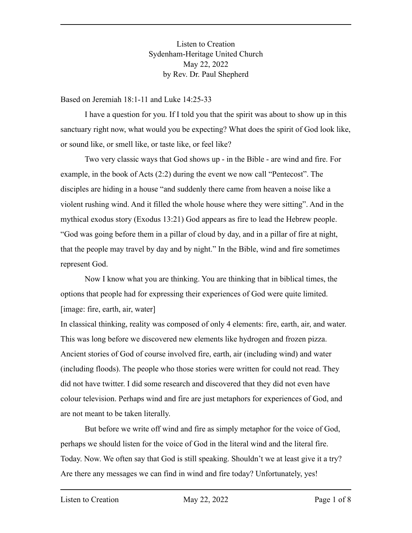Listen to Creation Sydenham-Heritage United Church May 22, 2022 by Rev. Dr. Paul Shepherd

Based on Jeremiah 18:1-11 and Luke 14:25-33

I have a question for you. If I told you that the spirit was about to show up in this sanctuary right now, what would you be expecting? What does the spirit of God look like, or sound like, or smell like, or taste like, or feel like?

Two very classic ways that God shows up - in the Bible - are wind and fire. For example, in the book of Acts (2:2) during the event we now call "Pentecost". The disciples are hiding in a house "and suddenly there came from heaven a noise like a violent rushing wind. And it filled the whole house where they were sitting". And in the mythical exodus story (Exodus 13:21) God appears as fire to lead the Hebrew people. "God was going before them in a pillar of cloud by day, and in a pillar of fire at night, that the people may travel by day and by night." In the Bible, wind and fire sometimes represent God.

Now I know what you are thinking. You are thinking that in biblical times, the options that people had for expressing their experiences of God were quite limited. [image: fire, earth, air, water]

In classical thinking, reality was composed of only 4 elements: fire, earth, air, and water. This was long before we discovered new elements like hydrogen and frozen pizza. Ancient stories of God of course involved fire, earth, air (including wind) and water (including floods). The people who those stories were written for could not read. They did not have twitter. I did some research and discovered that they did not even have colour television. Perhaps wind and fire are just metaphors for experiences of God, and are not meant to be taken literally.

But before we write off wind and fire as simply metaphor for the voice of God, perhaps we should listen for the voice of God in the literal wind and the literal fire. Today. Now. We often say that God is still speaking. Shouldn't we at least give it a try? Are there any messages we can find in wind and fire today? Unfortunately, yes!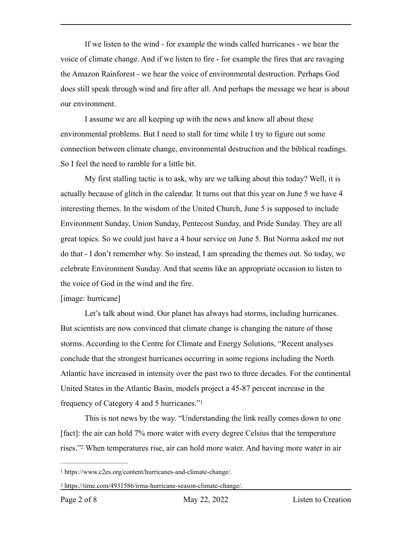If we listen to the wind - for example the winds called hurricanes - we hear the voice of climate change. And if we listen to fire - for example the fires that are ravaging the Amazon Rainforest - we hear the voice of environmental destruction. Perhaps God does still speak through wind and fire after all. And perhaps the message we hear is about our environment.

I assume we are all keeping up with the news and know all about these environmental problems. But I need to stall for time while I try to figure out some connection between climate change, environmental destruction and the biblical readings. So I feel the need to ramble for a little bit.

My first stalling tactic is to ask, why are we talking about this today? Well, it is actually because of glitch in the calendar. It turns out that this year on June 5 we have 4 interesting themes. In the wisdom of the United Church, June 5 is supposed to include Environment Sunday, Union Sunday, Pentecost Sunday, and Pride Sunday. They are all great topics. So we could just have a 4 hour service on June 5. But Norma asked me not do that - I don't remember why. So instead, I am spreading the themes out. So today, we celebrate Environment Sunday. And that seems like an appropriate occasion to listen to the voice of God in the wind and the fire.

## [image: hurricane]

Let's talk about wind. Our planet has always had storms, including hurricanes. But scientists are now convinced that climate change is changing the nature of those storms. According to the Centre for Climate and Energy Solutions, "Recent analyses conclude that the strongest hurricanes occurring in some regions including the North Atlantic have increased in intensity over the past two to three decades. For the continental United States in the Atlantic Basin, models project a 45-87 percent increase in the frequency of Category 4 and 5 hurricanes."[1](#page-1-0)

<span id="page-1-2"></span>This is not news by the way. "Understanding the link really comes down to one [fact]: the air can hold 7% more water with every degree Celsius that the temperature rises.["](#page-1-1)<sup>[2](#page-1-1)</sup> When temperatures rise, air can hold more water. And having more water in air

<span id="page-1-3"></span><span id="page-1-0"></span>https://www.c2es.org/content/hurricanes-and-climate-change/. [1](#page-1-2)

<span id="page-1-1"></span>https://time.com/4931586/irma-hurricane-season-climate-change/. [2](#page-1-3)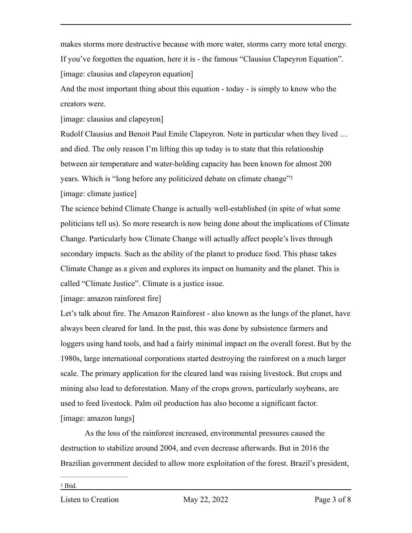makes storms more destructive because with more water, storms carry more total energy. If you've forgotten the equation, here it is - the famous "Clausius Clapeyron Equation". [image: clausius and clapeyron equation]

And the most important thing about this equation - today - is simply to know who the creators were.

[image: clausius and clapeyron]

Rudolf Clausius and Benoit Paul Emile Clapeyron. Note in particular when they lived … and died. The only reason I'm lifting this up today is to state that this relationship between air temperature and water-holding capacity has been known for almost 200 years. Which is "long before any politicized debate on climate change["3](#page-2-0) [image: climate justice]

<span id="page-2-1"></span>The science behind Climate Change is actually well-established (in spite of what some politicians tell us). So more research is now being done about the implications of Climate Change. Particularly how Climate Change will actually affect people's lives through secondary impacts. Such as the ability of the planet to produce food. This phase takes Climate Change as a given and explores its impact on humanity and the planet. This is called "Climate Justice". Climate is a justice issue.

[image: amazon rainforest fire]

Let's talk about fire. The Amazon Rainforest - also known as the lungs of the planet, have always been cleared for land. In the past, this was done by subsistence farmers and loggers using hand tools, and had a fairly minimal impact on the overall forest. But by the 1980s, large international corporations started destroying the rainforest on a much larger scale. The primary application for the cleared land was raising livestock. But crops and mining also lead to deforestation. Many of the crops grown, particularly soybeans, are used to feed livestock. Palm oil production has also become a significant factor. [image: amazon lungs]

<span id="page-2-0"></span>As the loss of the rainforest increased, environmental pressures caused the destruction to stabilize around 2004, and even decrease afterwards. But in 2016 the Brazilian government decided to allow more exploitation of the forest. Brazil's president,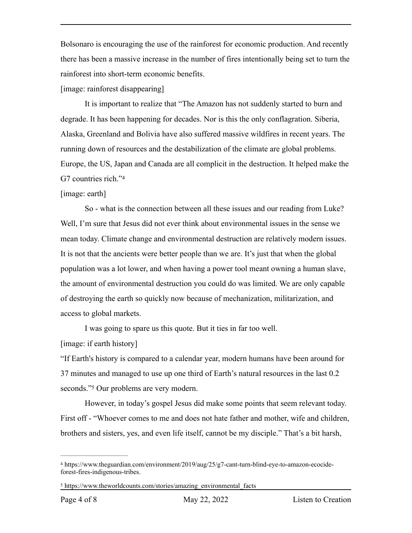Bolsonaro is encouraging the use of the rainforest for economic production. And recently there has been a massive increase in the number of fires intentionally being set to turn the rainforest into short-term economic benefits.

[image: rainforest disappearing]

It is important to realize that "The Amazon has not suddenly started to burn and degrade. It has been happening for decades. Nor is this the only conflagration. Siberia, Alaska, Greenland and Bolivia have also suffered massive wildfires in recent years. The running down of resources and the destabilization of the climate are global problems. Europe, the US, Japan and Canada are all complicit in the destruction. It helped make the G7 countries rich."[4](#page-3-0)

## <span id="page-3-2"></span>[image: earth]

So - what is the connection between all these issues and our reading from Luke? Well, I'm sure that Jesus did not ever think about environmental issues in the sense we mean today. Climate change and environmental destruction are relatively modern issues. It is not that the ancients were better people than we are. It's just that when the global population was a lot lower, and when having a power tool meant owning a human slave, the amount of environmental destruction you could do was limited. We are only capable of destroying the earth so quickly now because of mechanization, militarization, and access to global markets.

I was going to spare us this quote. But it ties in far too well.

[image: if earth history]

"If Earth's history is compared to a calendar year, modern humans have been around for 37 minutes and managed to use up one third of Earth's natural resources in the last 0.2 seconds.["](#page-3-1)<sup>5</sup> Our problems are very modern.

<span id="page-3-3"></span>However, in today's gospel Jesus did make some points that seem relevant today. First off - "Whoever comes to me and does not hate father and mother, wife and children, brothers and sisters, yes, and even life itself, cannot be my disciple." That's a bit harsh,

<span id="page-3-0"></span>https://www.theguardian.com/environment/2019/aug/25/g7-cant-turn-blind-eye-to-amazon-ecocide- [4](#page-3-2) forest-fires-indigenous-tribes.

<span id="page-3-1"></span><sup>&</sup>lt;sup>[5](#page-3-3)</sup> https://www.theworldcounts.com/stories/amazing\_environmental\_facts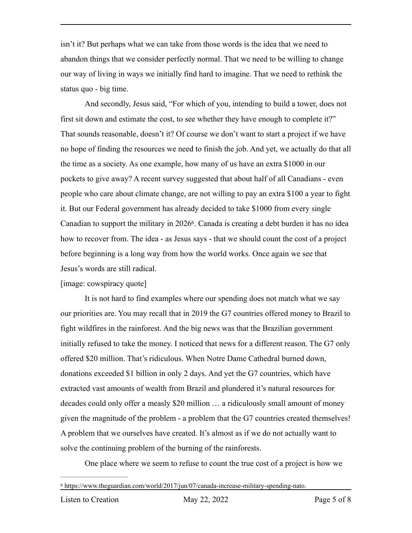isn't it? But perhaps what we can take from those words is the idea that we need to abandon things that we consider perfectly normal. That we need to be willing to change our way of living in ways we initially find hard to imagine. That we need to rethink the status quo - big time.

And secondly, Jesus said, "For which of you, intending to build a tower, does not first sit down and estimate the cost, to see whether they have enough to complete it?" That sounds reasonable, doesn't it? Of course we don't want to start a project if we have no hope of finding the resources we need to finish the job. And yet, we actually do that all the time as a society. As one example, how many of us have an extra \$1000 in our pockets to give away? A recent survey suggested that about half of all Canadians - even people who care about climate change, are not willing to pay an extra \$100 a year to fight it. But our Federal government has already decided to take \$1000 from every single Canadian to support the military in 2026<sup>6</sup>[.](#page-4-0) Canada is creating a debt burden it has no idea how to recover from. The idea - as Jesus says - that we should count the cost of a project before beginning is a long way from how the world works. Once again we see that Jesus's words are still radical.

## <span id="page-4-1"></span>[image: cowspiracy quote]

It is not hard to find examples where our spending does not match what we say our priorities are. You may recall that in 2019 the G7 countries offered money to Brazil to fight wildfires in the rainforest. And the big news was that the Brazilian government initially refused to take the money. I noticed that news for a different reason. The G7 only offered \$20 million. That's ridiculous. When Notre Dame Cathedral burned down, donations exceeded \$1 billion in only 2 days. And yet the G7 countries, which have extracted vast amounts of wealth from Brazil and plundered it's natural resources for decades could only offer a measly \$20 million … a ridiculously small amount of money given the magnitude of the problem - a problem that the G7 countries created themselves! A problem that we ourselves have created. It's almost as if we do not actually want to solve the continuing problem of the burning of the rainforests.

One place where we seem to refuse to count the true cost of a project is how we

<span id="page-4-0"></span>https://www.theguardian.com/world/2017/jun/07/canada-increase-military-spending-nato. [6](#page-4-1)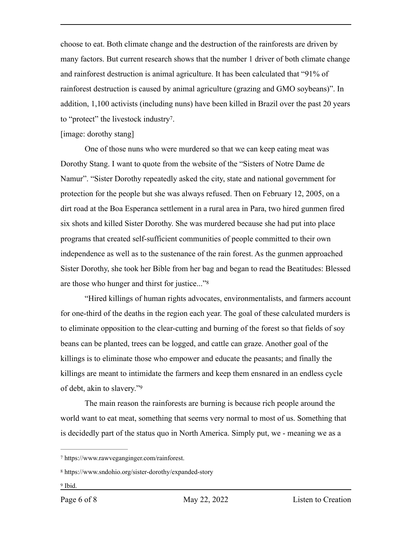choose to eat. Both climate change and the destruction of the rainforests are driven by many factors. But current research shows that the number 1 driver of both climate change and rainforest destruction is animal agriculture. It has been calculated that "91% of rainforest destruction is caused by animal agriculture (grazing and GMO soybeans)". In addition, 1,100 activists (including nuns) have been killed in Brazil over the past 20 years to "protect" the livestock industry?.

## <span id="page-5-3"></span>[image: dorothy stang]

One of those nuns who were murdered so that we can keep eating meat was Dorothy Stang. I want to quote from the website of the "Sisters of Notre Dame de Namur". "Sister Dorothy repeatedly asked the city, state and national government for protection for the people but she was always refused. Then on February 12, 2005, on a dirt road at the Boa Esperanca settlement in a rural area in Para, two hired gunmen fired six shots and killed Sister Dorothy. She was murdered because she had put into place programs that created self-sufficient communities of people committed to their own independence as well as to the sustenance of the rain forest. As the gunmen approached Sister Dorothy, she took her Bible from her bag and began to read the Beatitudes: Blessed are those who hunger and thirst for justice..."[8](#page-5-1)

<span id="page-5-4"></span>"Hired killings of human rights advocates, environmentalists, and farmers account for one-third of the deaths in the region each year. The goal of these calculated murders is to eliminate opposition to the clear-cutting and burning of the forest so that fields of soy beans can be planted, trees can be logged, and cattle can graze. Another goal of the killings is to eliminate those who empower and educate the peasants; and finally the killings are meant to intimidate the farmers and keep them ensnared in an endless cycle of debt, akin to slavery."[9](#page-5-2)

<span id="page-5-5"></span>The main reason the rainforests are burning is because rich people around the world want to eat meat, something that seems very normal to most of us. Something that is decidedly part of the status quo in North America. Simply put, we - meaning we as a

<span id="page-5-2"></span><sup>[9](#page-5-5)</sup> Ibid.

<span id="page-5-0"></span>https://www.rawveganginger.com/rainforest. [7](#page-5-3)

<span id="page-5-1"></span>[<sup>8</sup>](#page-5-4) https://www.sndohio.org/sister-dorothy/expanded-story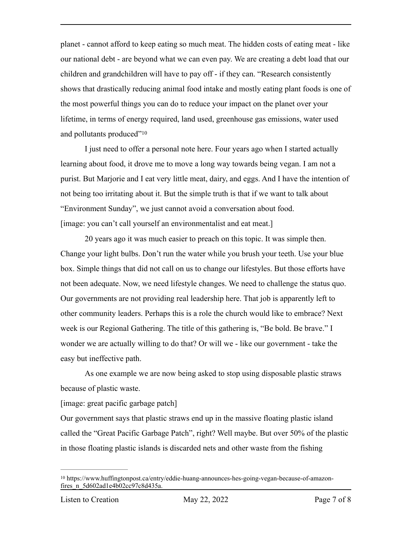planet - cannot afford to keep eating so much meat. The hidden costs of eating meat - like our national debt - are beyond what we can even pay. We are creating a debt load that our children and grandchildren will have to pay off - if they can. "Research consistently shows that drastically reducing animal food intake and mostly eating plant foods is one of the most powerful things you can do to reduce your impact on the planet over your lifetime, in terms of energy required, land used, greenhouse gas emissions, water used and pollutants produced"[10](#page-6-0)

<span id="page-6-1"></span>I just need to offer a personal note here. Four years ago when I started actually learning about food, it drove me to move a long way towards being vegan. I am not a purist. But Marjorie and I eat very little meat, dairy, and eggs. And I have the intention of not being too irritating about it. But the simple truth is that if we want to talk about "Environment Sunday", we just cannot avoid a conversation about food. [image: you can't call yourself an environmentalist and eat meat.]

20 years ago it was much easier to preach on this topic. It was simple then. Change your light bulbs. Don't run the water while you brush your teeth. Use your blue box. Simple things that did not call on us to change our lifestyles. But those efforts have not been adequate. Now, we need lifestyle changes. We need to challenge the status quo. Our governments are not providing real leadership here. That job is apparently left to other community leaders. Perhaps this is a role the church would like to embrace? Next week is our Regional Gathering. The title of this gathering is, "Be bold. Be brave." I wonder we are actually willing to do that? Or will we - like our government - take the easy but ineffective path.

As one example we are now being asked to stop using disposable plastic straws because of plastic waste.

[image: great pacific garbage patch]

Our government says that plastic straws end up in the massive floating plastic island called the "Great Pacific Garbage Patch", right? Well maybe. But over 50% of the plastic in those floating plastic islands is discarded nets and other waste from the fishing

<span id="page-6-0"></span><sup>&</sup>lt;sup>[10](#page-6-1)</sup> https://www.huffingtonpost.ca/entry/eddie-huang-announces-hes-going-vegan-because-of-amazonfires\_n\_5d602ad1e4b02cc97c8d435a.